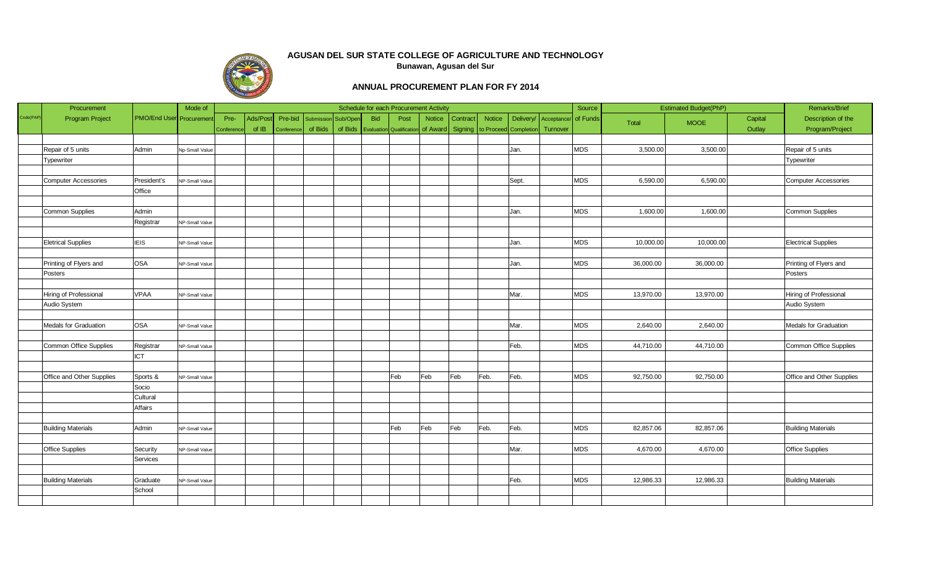

|           | Procurement                 |                                | Mode of        |           |         |            |            |          |            | Schedule for each Procurement Activity |               |                 |                       |           |             | Source     |           | <b>Estimated Budget(PhP)</b> |         | Remarks/Brief               |
|-----------|-----------------------------|--------------------------------|----------------|-----------|---------|------------|------------|----------|------------|----------------------------------------|---------------|-----------------|-----------------------|-----------|-------------|------------|-----------|------------------------------|---------|-----------------------------|
| Code(PAP) | <b>Program Project</b>      | <b>PMO/End User</b> Procuremen |                | Pre-      | Ads/Pos | Pre-bid    | Submission | Sub/Oper | <b>Bid</b> | Post                                   | <b>Notice</b> | <b>Contract</b> | <b>Notice</b>         | Delivery/ | Acceptance/ | of Funds   | Total     | <b>MOOE</b>                  | Capital | Description of the          |
|           |                             |                                |                | Conferenc | of IB   | Conference | of Bids    | of Bids  |            | <b>Evaluation</b> Qualification        | of Award      | Signing         | to Proceed Completion |           | Turnover    |            |           |                              | Outlay  | Program/Project             |
|           |                             |                                |                |           |         |            |            |          |            |                                        |               |                 |                       |           |             |            |           |                              |         |                             |
|           | Repair of 5 units           | Admin                          | Np-Small Value |           |         |            |            |          |            |                                        |               |                 |                       | Jan.      |             | <b>MDS</b> | 3,500.00  | 3,500.00                     |         | Repair of 5 units           |
|           | Typewriter                  |                                |                |           |         |            |            |          |            |                                        |               |                 |                       |           |             |            |           |                              |         | <b>Typewriter</b>           |
|           |                             |                                |                |           |         |            |            |          |            |                                        |               |                 |                       |           |             |            |           |                              |         |                             |
|           | <b>Computer Accessories</b> | President's                    | NP-Small Value |           |         |            |            |          |            |                                        |               |                 |                       | Sept.     |             | <b>MDS</b> | 6,590.00  | 6,590.00                     |         | <b>Computer Accessories</b> |
|           |                             | Office                         |                |           |         |            |            |          |            |                                        |               |                 |                       |           |             |            |           |                              |         |                             |
|           |                             |                                |                |           |         |            |            |          |            |                                        |               |                 |                       |           |             |            |           |                              |         |                             |
|           | Common Supplies             | Admin                          |                |           |         |            |            |          |            |                                        |               |                 |                       | Jan.      |             | <b>MDS</b> | 1,600.00  | 1,600.00                     |         | Common Supplies             |
|           |                             | Registrar                      | NP-Small Value |           |         |            |            |          |            |                                        |               |                 |                       |           |             |            |           |                              |         |                             |
|           |                             |                                |                |           |         |            |            |          |            |                                        |               |                 |                       |           |             |            |           |                              |         |                             |
|           | <b>Eletrical Supplies</b>   | <b>IEIS</b>                    | NP-Small Value |           |         |            |            |          |            |                                        |               |                 |                       | Jan.      |             | <b>MDS</b> | 10,000.00 | 10,000.00                    |         | <b>Electrical Supplies</b>  |
|           |                             |                                |                |           |         |            |            |          |            |                                        |               |                 |                       |           |             |            |           |                              |         |                             |
|           | Printing of Flyers and      | OSA                            | NP-Small Value |           |         |            |            |          |            |                                        |               |                 |                       | Jan.      |             | <b>MDS</b> | 36,000.00 | 36,000.00                    |         | Printing of Flyers and      |
|           | Posters                     |                                |                |           |         |            |            |          |            |                                        |               |                 |                       |           |             |            |           |                              |         | Posters                     |
|           |                             |                                |                |           |         |            |            |          |            |                                        |               |                 |                       |           |             |            |           |                              |         |                             |
|           | Hiring of Professional      | <b>VPAA</b>                    | NP-Small Value |           |         |            |            |          |            |                                        |               |                 |                       | Mar.      |             | <b>MDS</b> | 13,970.00 | 13,970.00                    |         | Hiring of Professional      |
|           | Audio System                |                                |                |           |         |            |            |          |            |                                        |               |                 |                       |           |             |            |           |                              |         | Audio System                |
|           |                             |                                |                |           |         |            |            |          |            |                                        |               |                 |                       |           |             |            |           |                              |         |                             |
|           | Medals for Graduation       | OSA                            | NP-Small Value |           |         |            |            |          |            |                                        |               |                 |                       | Mar.      |             | <b>MDS</b> | 2,640.00  | 2,640.00                     |         | Medals for Graduation       |
|           |                             |                                |                |           |         |            |            |          |            |                                        |               |                 |                       |           |             |            |           |                              |         |                             |
|           | Common Office Supplies      | Registrar                      | NP-Small Value |           |         |            |            |          |            |                                        |               |                 |                       | Feb.      |             | <b>MDS</b> | 44,710.00 | 44,710.00                    |         | Common Office Supplies      |
|           |                             | <b>ICT</b>                     |                |           |         |            |            |          |            |                                        |               |                 |                       |           |             |            |           |                              |         |                             |
|           |                             |                                |                |           |         |            |            |          |            |                                        |               |                 |                       |           |             |            |           |                              |         |                             |
|           | Office and Other Supplies   | Sports &                       | NP-Small Value |           |         |            |            |          |            | Feb                                    | Feb           | Feb             | Feb.                  | Feb.      |             | <b>MDS</b> | 92,750.00 | 92,750.00                    |         | Office and Other Supplies   |
|           |                             | Socio                          |                |           |         |            |            |          |            |                                        |               |                 |                       |           |             |            |           |                              |         |                             |
|           |                             | Cultural                       |                |           |         |            |            |          |            |                                        |               |                 |                       |           |             |            |           |                              |         |                             |
|           |                             | Affairs                        |                |           |         |            |            |          |            |                                        |               |                 |                       |           |             |            |           |                              |         |                             |
|           |                             |                                |                |           |         |            |            |          |            |                                        |               |                 |                       |           |             |            |           |                              |         |                             |
|           | <b>Building Materials</b>   | Admin                          | NP-Small Value |           |         |            |            |          |            | Feb                                    | Feb           | Feb             | Feb.                  | Feb.      |             | <b>MDS</b> | 82,857.06 | 82,857.06                    |         | <b>Building Materials</b>   |
|           |                             |                                |                |           |         |            |            |          |            |                                        |               |                 |                       |           |             |            |           |                              |         |                             |
|           | Office Supplies             | Security                       | NP-Small Value |           |         |            |            |          |            |                                        |               |                 |                       | Mar.      |             | <b>MDS</b> | 4,670.00  | 4,670.00                     |         | Office Supplies             |
|           |                             | Services                       |                |           |         |            |            |          |            |                                        |               |                 |                       |           |             |            |           |                              |         |                             |
|           |                             |                                |                |           |         |            |            |          |            |                                        |               |                 |                       |           |             |            |           |                              |         |                             |
|           | <b>Building Materials</b>   | Graduate                       | NP-Small Value |           |         |            |            |          |            |                                        |               |                 |                       | Feb.      |             | <b>MDS</b> | 12,986.33 | 12,986.33                    |         | <b>Building Materials</b>   |
|           |                             | School                         |                |           |         |            |            |          |            |                                        |               |                 |                       |           |             |            |           |                              |         |                             |
|           |                             |                                |                |           |         |            |            |          |            |                                        |               |                 |                       |           |             |            |           |                              |         |                             |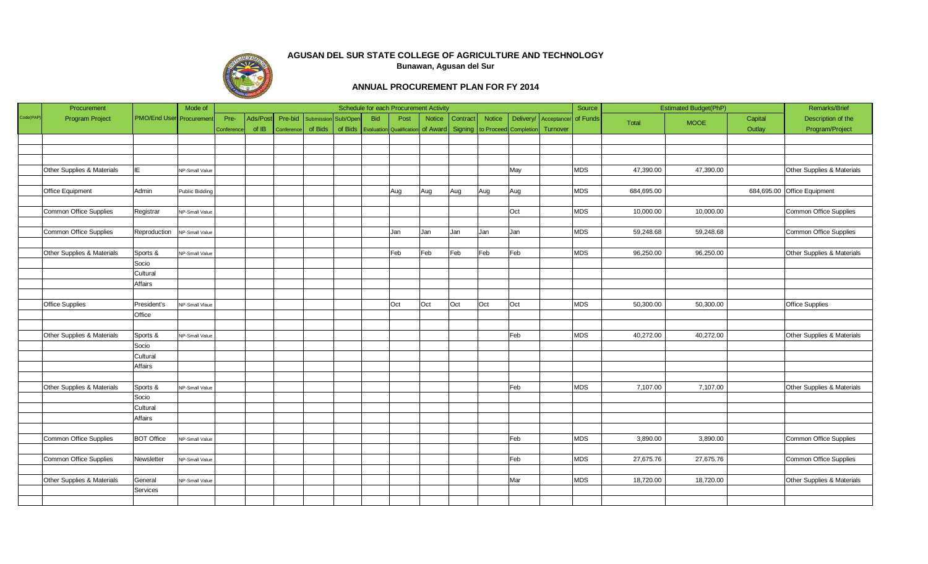

|          | Procurement                   |                         | Mode of               |          |         |            |            |          |            |                                 | Schedule for each Procurement Activity |          |                       |           |            | Source     |            | <b>Estimated Budget(PhP)</b> |         | Remarks/Brief                 |
|----------|-------------------------------|-------------------------|-----------------------|----------|---------|------------|------------|----------|------------|---------------------------------|----------------------------------------|----------|-----------------------|-----------|------------|------------|------------|------------------------------|---------|-------------------------------|
| Code(PAP | <b>Program Project</b>        | PMO/End User Procuremen |                       | Pre-     | Ads/Pos | Pre-bid    | Submissior | Sub/Oper | <b>Bid</b> | Post                            | <b>Notice</b>                          | Contract | <b>Notice</b>         | Delivery/ | Acceptance | of Funds   | Total      | <b>MOOE</b>                  | Capital | Description of the            |
|          |                               |                         |                       | Conferen | of IB   | Conference | of Bids    | of Bids  |            | <b>Evaluation</b> Qualification | of Award                               | Signing  | to Proceed Completion |           | Turnover   |            |            |                              | Outlay  | Program/Project               |
|          |                               |                         |                       |          |         |            |            |          |            |                                 |                                        |          |                       |           |            |            |            |                              |         |                               |
|          |                               |                         |                       |          |         |            |            |          |            |                                 |                                        |          |                       |           |            |            |            |                              |         |                               |
|          |                               |                         |                       |          |         |            |            |          |            |                                 |                                        |          |                       |           |            |            |            |                              |         |                               |
|          | Other Supplies & Materials    | IE.                     | NP-Small Value        |          |         |            |            |          |            |                                 |                                        |          |                       | May       |            | <b>MDS</b> | 47,390.00  | 47,390.00                    |         | Other Supplies & Materials    |
|          |                               |                         |                       |          |         |            |            |          |            |                                 |                                        |          |                       |           |            |            |            |                              |         |                               |
|          | Office Equipment              | Admin                   | <b>Public Bidding</b> |          |         |            |            |          |            | Aug                             | Aug                                    | Aug      | Aug                   | Aug       |            | <b>MDS</b> | 684,695.00 |                              |         | 684,695.00 Office Equipment   |
|          |                               |                         |                       |          |         |            |            |          |            |                                 |                                        |          |                       |           |            |            |            |                              |         |                               |
|          | Common Office Supplies        | Registrar               | NP-Small Value        |          |         |            |            |          |            |                                 |                                        |          |                       | Oct       |            | <b>MDS</b> | 10,000.00  | 10,000.00                    |         | <b>Common Office Supplies</b> |
|          |                               |                         |                       |          |         |            |            |          |            |                                 |                                        |          |                       |           |            |            |            |                              |         |                               |
|          | Common Office Supplies        | Reproduction            | NP-Small Value        |          |         |            |            |          |            | Jan                             | Jan                                    | Jan      | Jan                   | Jan       |            | <b>MDS</b> | 59,248.68  | 59,248.68                    |         | Common Office Supplies        |
|          |                               |                         |                       |          |         |            |            |          |            |                                 |                                        |          |                       |           |            |            |            |                              |         |                               |
|          | Other Supplies & Materials    | Sports &                | NP-Small Value        |          |         |            |            |          |            | Feb                             | Feb                                    | Feb      | Feb                   | Feb       |            | <b>MDS</b> | 96,250.00  | 96,250.00                    |         | Other Supplies & Materials    |
|          |                               | Socio                   |                       |          |         |            |            |          |            |                                 |                                        |          |                       |           |            |            |            |                              |         |                               |
|          |                               | Cultural                |                       |          |         |            |            |          |            |                                 |                                        |          |                       |           |            |            |            |                              |         |                               |
|          |                               | Affairs                 |                       |          |         |            |            |          |            |                                 |                                        |          |                       |           |            |            |            |                              |         |                               |
|          |                               |                         |                       |          |         |            |            |          |            |                                 |                                        |          |                       |           |            |            |            |                              |         |                               |
|          | Office Supplies               | President's             | NP-Small Vlaue        |          |         |            |            |          |            | Oct                             | Oct                                    | Oct      | Oct                   | Oct       |            | <b>MDS</b> | 50,300.00  | 50,300.00                    |         | <b>Office Supplies</b>        |
|          |                               | Office                  |                       |          |         |            |            |          |            |                                 |                                        |          |                       |           |            |            |            |                              |         |                               |
|          |                               |                         |                       |          |         |            |            |          |            |                                 |                                        |          |                       |           |            |            |            |                              |         |                               |
|          | Other Supplies & Materials    | Sports &                | NP-Small Value        |          |         |            |            |          |            |                                 |                                        |          |                       | Feb       |            | <b>MDS</b> | 40,272.00  | 40,272.00                    |         | Other Supplies & Materials    |
|          |                               | Socio                   |                       |          |         |            |            |          |            |                                 |                                        |          |                       |           |            |            |            |                              |         |                               |
|          |                               | Cultural                |                       |          |         |            |            |          |            |                                 |                                        |          |                       |           |            |            |            |                              |         |                               |
|          |                               | Affairs                 |                       |          |         |            |            |          |            |                                 |                                        |          |                       |           |            |            |            |                              |         |                               |
|          |                               |                         |                       |          |         |            |            |          |            |                                 |                                        |          |                       |           |            |            |            |                              |         |                               |
|          | Other Supplies & Materials    | Sports &                | NP-Small Value        |          |         |            |            |          |            |                                 |                                        |          |                       | Feb       |            | <b>MDS</b> | 7,107.00   | 7,107.00                     |         | Other Supplies & Materials    |
|          |                               | Socio                   |                       |          |         |            |            |          |            |                                 |                                        |          |                       |           |            |            |            |                              |         |                               |
|          |                               | Cultural                |                       |          |         |            |            |          |            |                                 |                                        |          |                       |           |            |            |            |                              |         |                               |
|          |                               | Affairs                 |                       |          |         |            |            |          |            |                                 |                                        |          |                       |           |            |            |            |                              |         |                               |
|          |                               |                         |                       |          |         |            |            |          |            |                                 |                                        |          |                       |           |            |            |            |                              |         |                               |
|          | <b>Common Office Supplies</b> | <b>BOT Office</b>       | NP-Small Value        |          |         |            |            |          |            |                                 |                                        |          |                       | Feb       |            | <b>MDS</b> | 3,890.00   | 3,890.00                     |         | <b>Common Office Supplies</b> |
|          |                               |                         |                       |          |         |            |            |          |            |                                 |                                        |          |                       |           |            |            |            |                              |         |                               |
|          | Common Office Supplies        | Newsletter              | NP-Small Value        |          |         |            |            |          |            |                                 |                                        |          |                       | Feb       |            | <b>MDS</b> | 27,675.76  | 27,675.76                    |         | Common Office Supplies        |
|          |                               |                         |                       |          |         |            |            |          |            |                                 |                                        |          |                       |           |            |            |            |                              |         |                               |
|          | Other Supplies & Materials    | General                 | NP-Small Value        |          |         |            |            |          |            |                                 |                                        |          |                       | Mar       |            | <b>MDS</b> | 18,720.00  | 18,720.00                    |         | Other Supplies & Materials    |
|          |                               | Services                |                       |          |         |            |            |          |            |                                 |                                        |          |                       |           |            |            |            |                              |         |                               |
|          |                               |                         |                       |          |         |            |            |          |            |                                 |                                        |          |                       |           |            |            |            |                              |         |                               |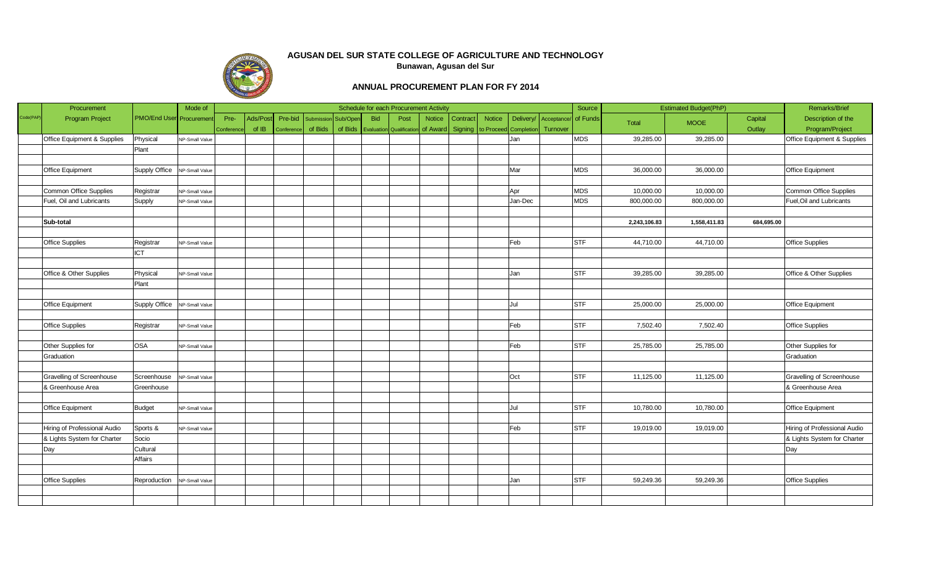

|           | Procurement                            |                                 | Mode of        |           |         |           |            |          |            | Schedule for each Procurement Activity |                  |          |                       |           |            | Source     |              | <b>Estimated Budget(PhP)</b> |            | <b>Remarks/Brief</b>                   |
|-----------|----------------------------------------|---------------------------------|----------------|-----------|---------|-----------|------------|----------|------------|----------------------------------------|------------------|----------|-----------------------|-----------|------------|------------|--------------|------------------------------|------------|----------------------------------------|
| Code(PAP) | <b>Program Project</b>                 | <b>PMO/End User</b> Procurement |                | Pre-      | Ads/Pos | Pre-bid   | Submission | Sub/Oper | <b>Bid</b> | Post                                   | <b>Notice</b>    | Contract | <b>Notice</b>         | Delivery/ | Acceptance | of Funds   | Total        | <b>MOOE</b>                  | Capital    | Description of the                     |
|           |                                        |                                 |                | Conferenc | of IB   | Conferend | of Bids    | of Bids  |            | <b>Evaluation</b> Qualificatio         | of Award Signing |          | to Proceed Completion |           | Turnover   |            |              |                              | Outlay     | Program/Project                        |
|           | <b>Office Equipment &amp; Supplies</b> | Physical                        | NP-Small Value |           |         |           |            |          |            |                                        |                  |          |                       | Jan       |            | <b>MDS</b> | 39,285.00    | 39,285.00                    |            | <b>Office Equipment &amp; Supplies</b> |
|           |                                        | Plant                           |                |           |         |           |            |          |            |                                        |                  |          |                       |           |            |            |              |                              |            |                                        |
|           |                                        |                                 |                |           |         |           |            |          |            |                                        |                  |          |                       |           |            |            |              |                              |            |                                        |
|           | Office Equipment                       | Supply Office NP-Small Value    |                |           |         |           |            |          |            |                                        |                  |          |                       | Mar       |            | <b>MDS</b> | 36,000.00    | 36,000.00                    |            | Office Equipment                       |
|           |                                        |                                 |                |           |         |           |            |          |            |                                        |                  |          |                       |           |            |            |              |                              |            |                                        |
|           | Common Office Supplies                 | Registrar                       | NP-Small Value |           |         |           |            |          |            |                                        |                  |          |                       | Apr       |            | <b>MDS</b> | 10,000.00    | 10,000.00                    |            | Common Office Supplies                 |
|           | Fuel, Oil and Lubricants               | Supply                          | NP-Small Value |           |         |           |            |          |            |                                        |                  |          |                       | Jan-Dec   |            | <b>MDS</b> | 800,000.00   | 800,000.00                   |            | Fuel, Oil and Lubricants               |
|           |                                        |                                 |                |           |         |           |            |          |            |                                        |                  |          |                       |           |            |            |              |                              |            |                                        |
|           | Sub-total                              |                                 |                |           |         |           |            |          |            |                                        |                  |          |                       |           |            |            | 2,243,106.83 | 1,558,411.83                 | 684,695.00 |                                        |
|           |                                        |                                 |                |           |         |           |            |          |            |                                        |                  |          |                       |           |            |            |              |                              |            |                                        |
|           | <b>Office Supplies</b>                 | Registrar                       | NP-Small Value |           |         |           |            |          |            |                                        |                  |          |                       | Feb       |            | <b>STF</b> | 44,710.00    | 44,710.00                    |            | <b>Office Supplies</b>                 |
|           |                                        | ICT                             |                |           |         |           |            |          |            |                                        |                  |          |                       |           |            |            |              |                              |            |                                        |
|           |                                        |                                 |                |           |         |           |            |          |            |                                        |                  |          |                       |           |            |            |              |                              |            |                                        |
|           | Office & Other Supplies                | Physical                        | NP-Small Value |           |         |           |            |          |            |                                        |                  |          |                       | Jan       |            | <b>STF</b> | 39,285.00    | 39,285.00                    |            | Office & Other Supplies                |
|           |                                        | Plant                           |                |           |         |           |            |          |            |                                        |                  |          |                       |           |            |            |              |                              |            |                                        |
|           |                                        |                                 |                |           |         |           |            |          |            |                                        |                  |          |                       |           |            |            |              |                              |            |                                        |
|           | Office Equipment                       | Supply Office NP-Small Value    |                |           |         |           |            |          |            |                                        |                  |          |                       | Jul       |            | <b>STF</b> | 25,000.00    | 25,000.00                    |            | <b>Office Equipment</b>                |
|           |                                        |                                 |                |           |         |           |            |          |            |                                        |                  |          |                       |           |            |            |              |                              |            |                                        |
|           | <b>Office Supplies</b>                 | Registrar                       | NP-Small Value |           |         |           |            |          |            |                                        |                  |          |                       | Feb       |            | STF        | 7,502.40     | 7,502.40                     |            | <b>Office Supplies</b>                 |
|           |                                        |                                 |                |           |         |           |            |          |            |                                        |                  |          |                       |           |            |            |              |                              |            |                                        |
|           | Other Supplies for                     | OSA                             | NP-Small Value |           |         |           |            |          |            |                                        |                  |          |                       | Feb       |            | <b>STF</b> | 25,785.00    | 25,785.00                    |            | Other Supplies for                     |
|           | Graduation                             |                                 |                |           |         |           |            |          |            |                                        |                  |          |                       |           |            |            |              |                              |            | Graduation                             |
|           |                                        |                                 |                |           |         |           |            |          |            |                                        |                  |          |                       |           |            |            |              |                              |            |                                        |
|           | Gravelling of Screenhouse              | Screenhouse                     | NP-Small Value |           |         |           |            |          |            |                                        |                  |          |                       | Oct       |            | STF        | 11,125.00    | 11,125.00                    |            | Gravelling of Screenhouse              |
|           | & Greenhouse Area                      | Greenhouse                      |                |           |         |           |            |          |            |                                        |                  |          |                       |           |            |            |              |                              |            | & Greenhouse Area                      |
|           |                                        |                                 |                |           |         |           |            |          |            |                                        |                  |          |                       |           |            |            |              |                              |            |                                        |
|           | Office Equipment                       | Budget                          | NP-Small Value |           |         |           |            |          |            |                                        |                  |          |                       | Jul       |            | <b>STF</b> | 10,780.00    | 10,780.00                    |            | <b>Office Equipment</b>                |
|           |                                        |                                 |                |           |         |           |            |          |            |                                        |                  |          |                       |           |            |            |              |                              |            |                                        |
|           | Hiring of Professional Audio           | Sports &                        | NP-Small Value |           |         |           |            |          |            |                                        |                  |          |                       | Feb       |            | <b>STF</b> | 19,019.00    | 19,019.00                    |            | Hiring of Professional Audio           |
|           | & Lights System for Charter            | Socio                           |                |           |         |           |            |          |            |                                        |                  |          |                       |           |            |            |              |                              |            | & Lights System for Charter            |
|           | Day                                    | Cultural                        |                |           |         |           |            |          |            |                                        |                  |          |                       |           |            |            |              |                              |            | Day                                    |
|           |                                        | Affairs                         |                |           |         |           |            |          |            |                                        |                  |          |                       |           |            |            |              |                              |            |                                        |
|           |                                        |                                 |                |           |         |           |            |          |            |                                        |                  |          |                       |           |            |            |              |                              |            |                                        |
|           | <b>Office Supplies</b>                 | Reproduction                    | NP-Small Value |           |         |           |            |          |            |                                        |                  |          |                       | Jan       |            | <b>STF</b> | 59,249.36    | 59,249.36                    |            | <b>Office Supplies</b>                 |
|           |                                        |                                 |                |           |         |           |            |          |            |                                        |                  |          |                       |           |            |            |              |                              |            |                                        |
|           |                                        |                                 |                |           |         |           |            |          |            |                                        |                  |          |                       |           |            |            |              |                              |            |                                        |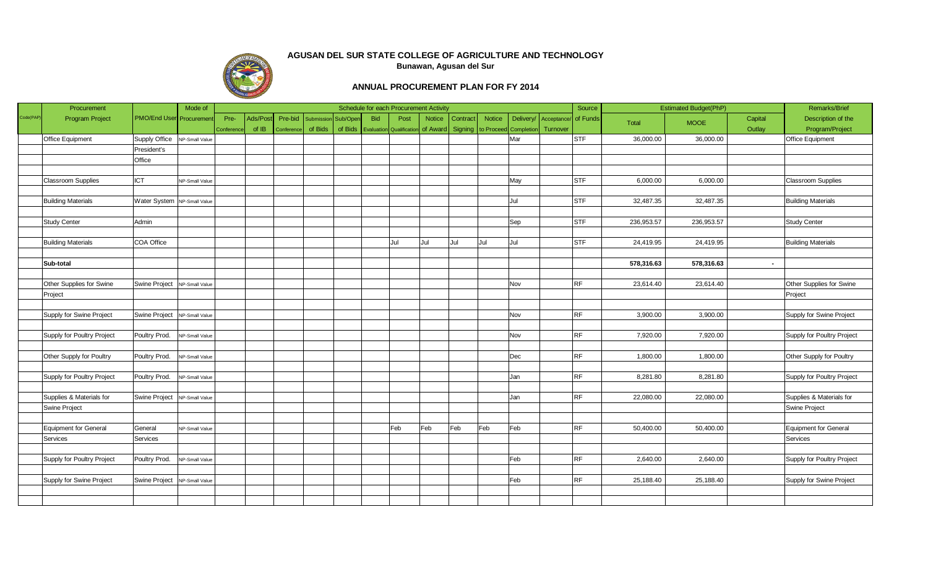

|           | Procurement                |                                | Mode of        |           |          |            |                   |          |            | Schedule for each Procurement Activity |               |                                        |               |           |             | Source     |            | <b>Estimated Budget(PhP)</b> |         | Remarks/Brief                |
|-----------|----------------------------|--------------------------------|----------------|-----------|----------|------------|-------------------|----------|------------|----------------------------------------|---------------|----------------------------------------|---------------|-----------|-------------|------------|------------|------------------------------|---------|------------------------------|
| Code(PAP) | <b>Program Project</b>     | PMO/End User Procuremen        |                | Pre-      | Ads/Post | Pre-bid    | <b>Submission</b> | Sub/Oper | <b>Bid</b> | Post                                   | <b>Notice</b> | Contract                               | <b>Notice</b> | Delivery/ | Acceptance/ | of Funds   | Total      | <b>MOOE</b>                  | Capital | Description of the           |
|           |                            |                                |                | Conferenc | of IB    | Conference | of Bids           | of Bids  |            | <b>Evaluation</b> Qualificatio         |               | of Award Signing to Proceed Completion |               |           | Turnover    |            |            |                              | Outlay  | Program/Project              |
|           | Office Equipment           | Supply Office NP-Small Value   |                |           |          |            |                   |          |            |                                        |               |                                        |               | Mar       |             | STF        | 36,000.00  | 36,000.00                    |         | Office Equipment             |
|           |                            | President's                    |                |           |          |            |                   |          |            |                                        |               |                                        |               |           |             |            |            |                              |         |                              |
|           |                            | Office                         |                |           |          |            |                   |          |            |                                        |               |                                        |               |           |             |            |            |                              |         |                              |
|           |                            |                                |                |           |          |            |                   |          |            |                                        |               |                                        |               |           |             |            |            |                              |         |                              |
|           | Classroom Supplies         | <b>ICT</b>                     | NP-Small Value |           |          |            |                   |          |            |                                        |               |                                        |               | May       |             | <b>STF</b> | 6,000.00   | 6,000.00                     |         | <b>Classroom Supplies</b>    |
|           |                            |                                |                |           |          |            |                   |          |            |                                        |               |                                        |               |           |             |            |            |                              |         |                              |
|           | <b>Building Materials</b>  | Water System NP-Small Value    |                |           |          |            |                   |          |            |                                        |               |                                        |               | Jul       |             | STF        | 32,487.35  | 32,487.35                    |         | <b>Building Materials</b>    |
|           |                            |                                |                |           |          |            |                   |          |            |                                        |               |                                        |               |           |             |            |            |                              |         |                              |
|           | Study Center               | Admin                          |                |           |          |            |                   |          |            |                                        |               |                                        |               | Sep       |             | <b>STF</b> | 236,953.57 | 236,953.57                   |         | <b>Study Center</b>          |
|           |                            |                                |                |           |          |            |                   |          |            |                                        |               |                                        |               |           |             |            |            |                              |         |                              |
|           | <b>Building Materials</b>  | COA Office                     |                |           |          |            |                   |          |            | Jul                                    | Jul           | Jul                                    | Jul           | Jul       |             | <b>STF</b> | 24,419.95  | 24,419.95                    |         | <b>Building Materials</b>    |
|           |                            |                                |                |           |          |            |                   |          |            |                                        |               |                                        |               |           |             |            |            |                              |         |                              |
|           | Sub-total                  |                                |                |           |          |            |                   |          |            |                                        |               |                                        |               |           |             |            | 578,316.63 | 578,316.63                   | $\sim$  |                              |
|           |                            |                                |                |           |          |            |                   |          |            |                                        |               |                                        |               |           |             |            |            |                              |         |                              |
|           | Other Supplies for Swine   | Swine Project   NP-Small Value |                |           |          |            |                   |          |            |                                        |               |                                        |               | Nov       |             | <b>RF</b>  | 23,614.40  | 23,614.40                    |         | Other Supplies for Swine     |
|           | Project                    |                                |                |           |          |            |                   |          |            |                                        |               |                                        |               |           |             |            |            |                              |         | Project                      |
|           |                            |                                |                |           |          |            |                   |          |            |                                        |               |                                        |               |           |             |            |            |                              |         |                              |
|           | Supply for Swine Project   | Swine Project   NP-Small Value |                |           |          |            |                   |          |            |                                        |               |                                        |               | Nov       |             | RF         | 3,900.00   | 3,900.00                     |         | Supply for Swine Project     |
|           |                            |                                |                |           |          |            |                   |          |            |                                        |               |                                        |               |           |             |            |            |                              |         |                              |
|           | Supply for Poultry Project | Poultry Prod.                  | NP-Small Value |           |          |            |                   |          |            |                                        |               |                                        |               | Nov       |             | <b>RF</b>  | 7,920.00   | 7,920.00                     |         | Supply for Poultry Project   |
|           |                            |                                |                |           |          |            |                   |          |            |                                        |               |                                        |               |           |             |            |            |                              |         |                              |
|           | Other Supply for Poultry   | Poultry Prod.                  | NP-Small Value |           |          |            |                   |          |            |                                        |               |                                        |               | Dec       |             | RF         | 1,800.00   | 1,800.00                     |         | Other Supply for Poultry     |
|           |                            |                                |                |           |          |            |                   |          |            |                                        |               |                                        |               |           |             |            |            |                              |         |                              |
|           | Supply for Poultry Project | Poultry Prod. NP-Small Value   |                |           |          |            |                   |          |            |                                        |               |                                        |               | Jan       |             | <b>RF</b>  | 8,281.80   | 8,281.80                     |         | Supply for Poultry Project   |
|           |                            |                                |                |           |          |            |                   |          |            |                                        |               |                                        |               |           |             |            |            |                              |         |                              |
|           | Supplies & Materials for   | Swine Project NP-Small Value   |                |           |          |            |                   |          |            |                                        |               |                                        |               | Jan       |             | RF         | 22,080.00  | 22,080.00                    |         | Supplies & Materials for     |
|           | Swine Project              |                                |                |           |          |            |                   |          |            |                                        |               |                                        |               |           |             |            |            |                              |         | Swine Project                |
|           |                            |                                |                |           |          |            |                   |          |            |                                        |               |                                        |               |           |             |            |            |                              |         |                              |
|           | Equipment for General      | General                        | NP-Small Value |           |          |            |                   |          |            | Feb                                    | Feb           | Feb                                    | Feb           | Feb       |             | <b>RF</b>  | 50,400.00  | 50,400.00                    |         | <b>Equipment for General</b> |
|           | Services                   | Services                       |                |           |          |            |                   |          |            |                                        |               |                                        |               |           |             |            |            |                              |         | Services                     |
|           |                            |                                |                |           |          |            |                   |          |            |                                        |               |                                        |               |           |             |            |            |                              |         |                              |
|           | Supply for Poultry Project | Poultry Prod.                  | NP-Small Value |           |          |            |                   |          |            |                                        |               |                                        |               | Feb       |             | RF         | 2,640.00   | 2,640.00                     |         | Supply for Poultry Project   |
|           |                            |                                |                |           |          |            |                   |          |            |                                        |               |                                        |               |           |             |            |            |                              |         |                              |
|           | Supply for Swine Project   | Swine Project   NP-Small Value |                |           |          |            |                   |          |            |                                        |               |                                        |               | Feb       |             | RF         | 25,188.40  | 25,188.40                    |         | Supply for Swine Project     |
|           |                            |                                |                |           |          |            |                   |          |            |                                        |               |                                        |               |           |             |            |            |                              |         |                              |
|           |                            |                                |                |           |          |            |                   |          |            |                                        |               |                                        |               |           |             |            |            |                              |         |                              |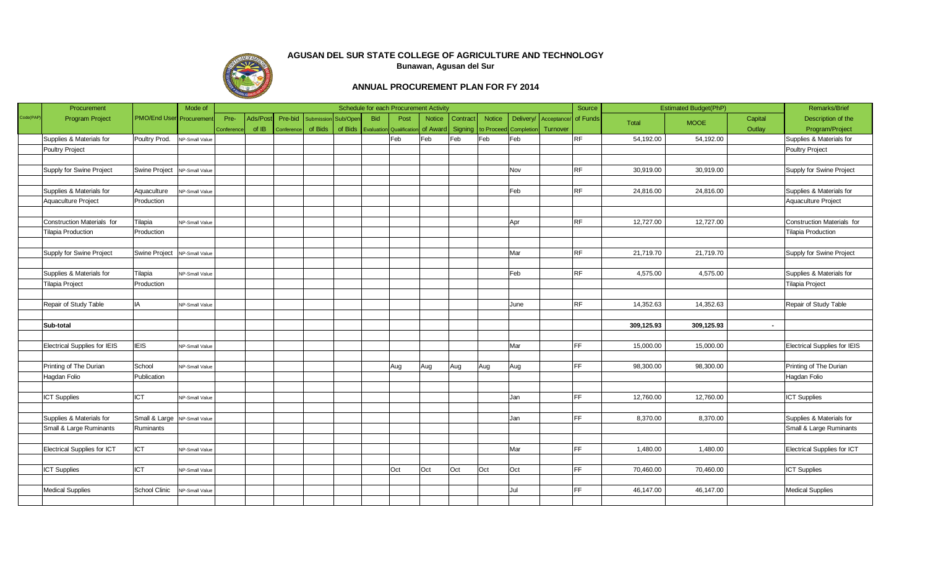

|           | Procurement                  |                                | Mode of        |           |          |            |                   |          |                     | Schedule for each Procurement Activity |               |                |                       |           |             | Source    |            | <b>Estimated Budget(PhP)</b> |         | Remarks/Brief                       |
|-----------|------------------------------|--------------------------------|----------------|-----------|----------|------------|-------------------|----------|---------------------|----------------------------------------|---------------|----------------|-----------------------|-----------|-------------|-----------|------------|------------------------------|---------|-------------------------------------|
| Code(PAP) | <b>Program Project</b>       | <b>PMO/End User</b> Procuremen |                | Pre-      | Ads/Post | Pre-bid    | <b>Submission</b> | Sub/Oper | <b>Bid</b>          | Post                                   | <b>Notice</b> | Contract       | <b>Notice</b>         | Delivery/ | Acceptance/ | of Funds  | Total      | <b>MOOE</b>                  | Capital | Description of the                  |
|           |                              |                                |                | Conferenc | of IB    | Conference | of Bids           | of Bids  | Evaluation Qualific |                                        | of Award      | <b>Signing</b> | to Proceed Completion |           | Turnover    |           |            |                              | Outlay  | Program/Project                     |
|           | Supplies & Materials for     | Poultry Prod. NP-Small Value   |                |           |          |            |                   |          |                     | Feb                                    | Feb           | Feb            | Feb                   | Feb       |             | <b>RF</b> | 54,192.00  | 54,192.00                    |         | Supplies & Materials for            |
|           | Poultry Project              |                                |                |           |          |            |                   |          |                     |                                        |               |                |                       |           |             |           |            |                              |         | Poultry Project                     |
|           |                              |                                |                |           |          |            |                   |          |                     |                                        |               |                |                       |           |             |           |            |                              |         |                                     |
|           | Supply for Swine Project     | Swine Project   NP-Small Value |                |           |          |            |                   |          |                     |                                        |               |                |                       | Nov       |             | <b>RF</b> | 30,919.00  | 30,919.00                    |         | Supply for Swine Project            |
|           |                              |                                |                |           |          |            |                   |          |                     |                                        |               |                |                       |           |             |           |            |                              |         |                                     |
|           | Supplies & Materials for     | Aquaculture                    | NP-Small Value |           |          |            |                   |          |                     |                                        |               |                |                       | Feb       |             | RF        | 24,816.00  | 24,816.00                    |         | Supplies & Materials for            |
|           | Aquaculture Project          | Production                     |                |           |          |            |                   |          |                     |                                        |               |                |                       |           |             |           |            |                              |         | Aquaculture Project                 |
|           |                              |                                |                |           |          |            |                   |          |                     |                                        |               |                |                       |           |             |           |            |                              |         |                                     |
|           | Construction Materials for   | Tilapia                        | NP-Small Value |           |          |            |                   |          |                     |                                        |               |                |                       | Apr       |             | RF        | 12,727.00  | 12,727.00                    |         | Construction Materials for          |
|           | <b>Tilapia Production</b>    | Production                     |                |           |          |            |                   |          |                     |                                        |               |                |                       |           |             |           |            |                              |         | <b>Tilapia Production</b>           |
|           |                              |                                |                |           |          |            |                   |          |                     |                                        |               |                |                       |           |             |           |            |                              |         |                                     |
|           | Supply for Swine Project     | Swine Project NP-Small Value   |                |           |          |            |                   |          |                     |                                        |               |                |                       | Mar       |             | RF        | 21,719.70  | 21,719.70                    |         | Supply for Swine Project            |
|           |                              |                                |                |           |          |            |                   |          |                     |                                        |               |                |                       |           |             |           |            |                              |         |                                     |
|           | Supplies & Materials for     | Tilapia                        | NP-Small Value |           |          |            |                   |          |                     |                                        |               |                |                       | Feb       |             | <b>RF</b> | 4,575.00   | 4,575.00                     |         | Supplies & Materials for            |
|           | Tilapia Project              | Production                     |                |           |          |            |                   |          |                     |                                        |               |                |                       |           |             |           |            |                              |         | Tilapia Project                     |
|           |                              |                                |                |           |          |            |                   |          |                     |                                        |               |                |                       |           |             |           |            |                              |         |                                     |
|           | Repair of Study Table        | <b>IA</b>                      | NP-Small Value |           |          |            |                   |          |                     |                                        |               |                |                       | June      |             | <b>RF</b> | 14,352.63  | 14,352.63                    |         | Repair of Study Table               |
|           |                              |                                |                |           |          |            |                   |          |                     |                                        |               |                |                       |           |             |           |            |                              |         |                                     |
|           | Sub-total                    |                                |                |           |          |            |                   |          |                     |                                        |               |                |                       |           |             |           | 309,125.93 | 309,125.93                   | $\sim$  |                                     |
|           |                              |                                |                |           |          |            |                   |          |                     |                                        |               |                |                       |           |             |           |            |                              |         |                                     |
|           | Electrical Supplies for IEIS | <b>IEIS</b>                    | NP-Small Value |           |          |            |                   |          |                     |                                        |               |                |                       | Mar       |             | FF        | 15,000.00  | 15,000.00                    |         | <b>Electrical Supplies for IEIS</b> |
|           |                              |                                |                |           |          |            |                   |          |                     |                                        |               |                |                       |           |             |           |            |                              |         |                                     |
|           | Printing of The Durian       | School                         | NP-Small Value |           |          |            |                   |          |                     | Aug                                    | Aug           | Aug            | Aug                   | Aug       |             | FF.       | 98,300.00  | 98,300.00                    |         | Printing of The Durian              |
|           | Hagdan Folio                 | Publication                    |                |           |          |            |                   |          |                     |                                        |               |                |                       |           |             |           |            |                              |         | Hagdan Folio                        |
|           |                              |                                |                |           |          |            |                   |          |                     |                                        |               |                |                       |           |             |           |            |                              |         |                                     |
|           | <b>ICT Supplies</b>          | <b>ICT</b>                     | NP-Small Value |           |          |            |                   |          |                     |                                        |               |                |                       | Jan       |             | <b>FF</b> | 12,760.00  | 12,760.00                    |         | <b>ICT Supplies</b>                 |
|           |                              |                                |                |           |          |            |                   |          |                     |                                        |               |                |                       |           |             |           |            |                              |         |                                     |
|           | Supplies & Materials for     | Small & Large   NP-Small Value |                |           |          |            |                   |          |                     |                                        |               |                |                       | Jan       |             | FF.       | 8,370.00   | 8,370.00                     |         | Supplies & Materials for            |
|           | Small & Large Ruminants      | Ruminants                      |                |           |          |            |                   |          |                     |                                        |               |                |                       |           |             |           |            |                              |         | Small & Large Ruminants             |
|           |                              |                                |                |           |          |            |                   |          |                     |                                        |               |                |                       |           |             |           |            |                              |         |                                     |
|           | Electrical Supplies for ICT  | <b>ICT</b>                     | NP-Small Value |           |          |            |                   |          |                     |                                        |               |                |                       | Mar       |             | FF        | 1,480.00   | 1,480.00                     |         | <b>Electrical Supplies for ICT</b>  |
|           |                              |                                |                |           |          |            |                   |          |                     |                                        |               |                |                       |           |             |           |            |                              |         |                                     |
|           | <b>ICT Supplies</b>          | <b>ICT</b>                     | NP-Small Value |           |          |            |                   |          |                     | Oct                                    | Oct           | Oct            | Oct                   | Oct       |             | FF        | 70,460.00  | 70,460.00                    |         | <b>ICT Supplies</b>                 |
|           |                              |                                |                |           |          |            |                   |          |                     |                                        |               |                |                       |           |             |           |            |                              |         |                                     |
|           | <b>Medical Supplies</b>      | School Clinic NP-Small Value   |                |           |          |            |                   |          |                     |                                        |               |                |                       | Jul       |             | FF        | 46,147.00  | 46,147.00                    |         | <b>Medical Supplies</b>             |
|           |                              |                                |                |           |          |            |                   |          |                     |                                        |               |                |                       |           |             |           |            |                              |         |                                     |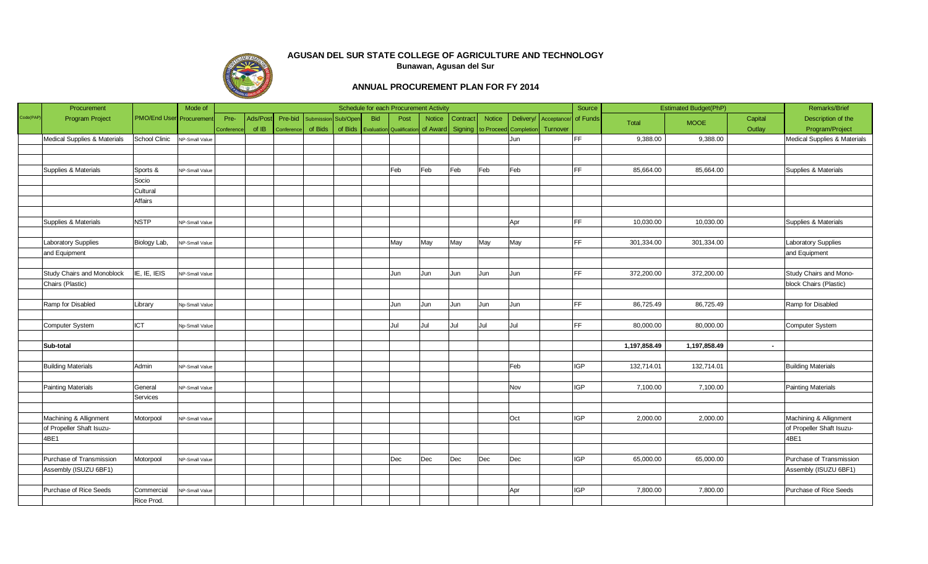

|          | Procurement                  |                                 | Mode of        |           |         |            |                     |         |            | Schedule for each Procurement Activity |               |                  |               |                       |             | Source     |              | <b>Estimated Budget(PhP)</b> |         | Remarks/Brief                |
|----------|------------------------------|---------------------------------|----------------|-----------|---------|------------|---------------------|---------|------------|----------------------------------------|---------------|------------------|---------------|-----------------------|-------------|------------|--------------|------------------------------|---------|------------------------------|
| Code(PAP | <b>Program Project</b>       | <b>PMO/End User</b> Procurement |                | Pre-      | Ads/Pos | Pre-bid    | Submission Sub/Oper |         | <b>Bid</b> | Post                                   | <b>Notice</b> | Contract         | <b>Notice</b> | Delivery/             | Acceptance/ | of Funds   | <b>Total</b> | <b>MOOE</b>                  | Capital | Description of the           |
|          |                              |                                 |                | Conferenc | of IB   | Conference | of Bids             | of Bids |            | <b>Evaluation</b> Qualification        |               | of Award Signing |               | to Proceed Completion | Turnover    |            |              |                              | Outlay  | Program/Project              |
|          | Medical Supplies & Materials | School Clinic                   | NP-Small Value |           |         |            |                     |         |            |                                        |               |                  |               | Jun                   |             | FF.        | 9,388.00     | 9,388.00                     |         | Medical Supplies & Materials |
|          |                              |                                 |                |           |         |            |                     |         |            |                                        |               |                  |               |                       |             |            |              |                              |         |                              |
|          |                              |                                 |                |           |         |            |                     |         |            |                                        |               |                  |               |                       |             |            |              |                              |         |                              |
|          | Supplies & Materials         | Sports &                        | NP-Small Value |           |         |            |                     |         |            | Feb                                    | Feb           | Feb              | Feb           | Feb                   |             | <b>FF</b>  | 85,664.00    | 85,664.00                    |         | Supplies & Materials         |
|          |                              | Socio                           |                |           |         |            |                     |         |            |                                        |               |                  |               |                       |             |            |              |                              |         |                              |
|          |                              | Cultural                        |                |           |         |            |                     |         |            |                                        |               |                  |               |                       |             |            |              |                              |         |                              |
|          |                              | Affairs                         |                |           |         |            |                     |         |            |                                        |               |                  |               |                       |             |            |              |                              |         |                              |
|          |                              |                                 |                |           |         |            |                     |         |            |                                        |               |                  |               |                       |             |            |              |                              |         |                              |
|          | Supplies & Materials         | <b>NSTP</b>                     | NP-Small Value |           |         |            |                     |         |            |                                        |               |                  |               | Apr                   |             | FF         | 10,030.00    | 10,030.00                    |         | Supplies & Materials         |
|          |                              |                                 |                |           |         |            |                     |         |            |                                        |               |                  |               |                       |             |            |              |                              |         |                              |
|          | Laboratory Supplies          | Biology Lab,                    | NP-Small Value |           |         |            |                     |         |            | May                                    | May           | May              | May           | May                   |             | FF.        | 301,334.00   | 301,334.00                   |         | <b>Laboratory Supplies</b>   |
|          | and Equipment                |                                 |                |           |         |            |                     |         |            |                                        |               |                  |               |                       |             |            |              |                              |         | and Equipment                |
|          |                              |                                 |                |           |         |            |                     |         |            |                                        |               |                  |               |                       |             |            |              |                              |         |                              |
|          | Study Chairs and Monoblock   | IE, IE, IEIS                    | NP-Small Value |           |         |            |                     |         |            | Jun                                    | Jun           | Jun              | Jun           | Jun                   |             | FF.        | 372,200.00   | 372,200.00                   |         | Study Chairs and Mono-       |
|          | Chairs (Plastic)             |                                 |                |           |         |            |                     |         |            |                                        |               |                  |               |                       |             |            |              |                              |         | block Chairs (Plastic)       |
|          |                              |                                 |                |           |         |            |                     |         |            |                                        |               |                  |               |                       |             |            |              |                              |         |                              |
|          | Ramp for Disabled            | Library                         | Np-Small Value |           |         |            |                     |         |            | Jun                                    | Jun           | Jun              | Jun           | Jun                   |             | FF.        | 86,725.49    | 86,725.49                    |         | Ramp for Disabled            |
|          |                              |                                 |                |           |         |            |                     |         |            |                                        |               |                  |               |                       |             |            |              |                              |         |                              |
|          | Computer System              | <b>ICT</b>                      | Np-Small Value |           |         |            |                     |         |            | Jul                                    | Jul           | Jul              | Jul           | Jul                   |             | FF.        | 80,000.00    | 80,000.00                    |         | Computer System              |
|          |                              |                                 |                |           |         |            |                     |         |            |                                        |               |                  |               |                       |             |            |              |                              |         |                              |
|          | Sub-total                    |                                 |                |           |         |            |                     |         |            |                                        |               |                  |               |                       |             |            | 1,197,858.49 | 1,197,858.49                 | $\sim$  |                              |
|          |                              |                                 |                |           |         |            |                     |         |            |                                        |               |                  |               |                       |             |            |              |                              |         |                              |
|          | <b>Building Materials</b>    | Admin                           | NP-Small Value |           |         |            |                     |         |            |                                        |               |                  |               | Feb                   |             | <b>IGP</b> | 132,714.01   | 132,714.01                   |         | <b>Building Materials</b>    |
|          |                              |                                 |                |           |         |            |                     |         |            |                                        |               |                  |               |                       |             |            |              |                              |         |                              |
|          | Painting Materials           | General                         | NP-Small Value |           |         |            |                     |         |            |                                        |               |                  |               | Nov                   |             | <b>IGP</b> | 7,100.00     | 7,100.00                     |         | <b>Painting Materials</b>    |
|          |                              | Services                        |                |           |         |            |                     |         |            |                                        |               |                  |               |                       |             |            |              |                              |         |                              |
|          |                              |                                 |                |           |         |            |                     |         |            |                                        |               |                  |               |                       |             |            |              |                              |         |                              |
|          | Machining & Allignment       | Motorpool                       | NP-Small Value |           |         |            |                     |         |            |                                        |               |                  |               | Oct                   |             | IGP        | 2,000.00     | 2,000.00                     |         | Machining & Allignment       |
|          | of Propeller Shaft Isuzu-    |                                 |                |           |         |            |                     |         |            |                                        |               |                  |               |                       |             |            |              |                              |         | of Propeller Shaft Isuzu-    |
|          | 4BE1                         |                                 |                |           |         |            |                     |         |            |                                        |               |                  |               |                       |             |            |              |                              |         | 4BE1                         |
|          |                              |                                 |                |           |         |            |                     |         |            |                                        |               |                  |               |                       |             |            |              |                              |         |                              |
|          | Purchase of Transmission     | Motorpool                       | NP-Small Value |           |         |            |                     |         |            | Dec                                    | Dec           | Dec              | Dec           | Dec                   |             | <b>IGP</b> | 65,000.00    | 65,000.00                    |         | Purchase of Transmission     |
|          | Assembly (ISUZU 6BF1)        |                                 |                |           |         |            |                     |         |            |                                        |               |                  |               |                       |             |            |              |                              |         | Assembly (ISUZU 6BF1)        |
|          |                              |                                 |                |           |         |            |                     |         |            |                                        |               |                  |               |                       |             |            |              |                              |         |                              |
|          | Purchase of Rice Seeds       | Commercial                      | NP-Small Value |           |         |            |                     |         |            |                                        |               |                  |               | Apr                   |             | <b>IGP</b> | 7,800.00     | 7,800.00                     |         | Purchase of Rice Seeds       |
|          |                              | Rice Prod.                      |                |           |         |            |                     |         |            |                                        |               |                  |               |                       |             |            |              |                              |         |                              |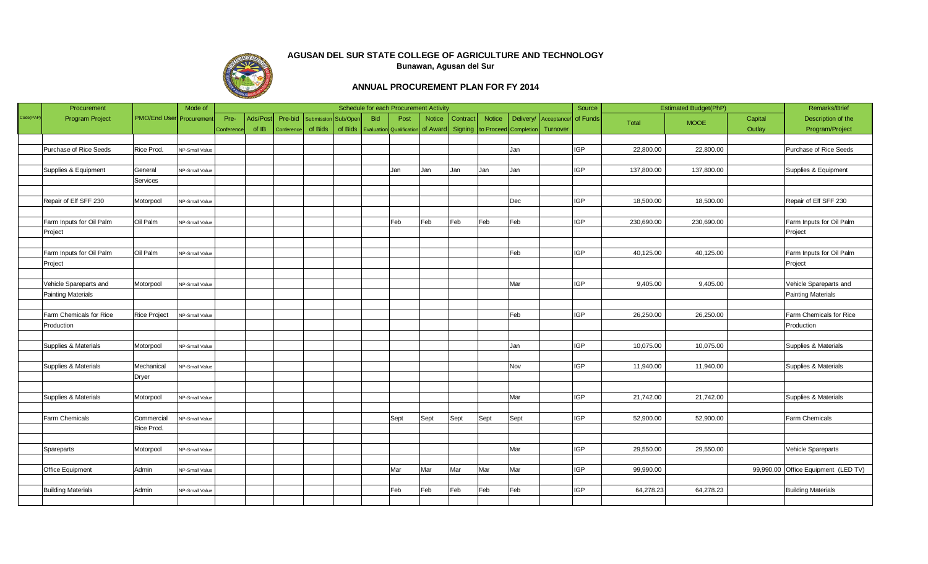

|           | Procurement               |                                | Mode of        |           |          |            |                   |          |            | Schedule for each Procurement Activity |               |                  |                       |           |             | Source     |            | <b>Estimated Budget(PhP)</b> |         | Remarks/Brief                       |
|-----------|---------------------------|--------------------------------|----------------|-----------|----------|------------|-------------------|----------|------------|----------------------------------------|---------------|------------------|-----------------------|-----------|-------------|------------|------------|------------------------------|---------|-------------------------------------|
| Code(PAP) | <b>Program Project</b>    | <b>PMO/End User</b> Procuremen |                | Pre-      | Ads/Post | Pre-bid    | <b>Submission</b> | Sub/Oper | <b>Bid</b> | Post                                   | <b>Notice</b> | Contract         | <b>Notice</b>         | Delivery/ | Acceptance/ | of Funds   | Total      | <b>MOOE</b>                  | Capital | Description of the                  |
|           |                           |                                |                | Conferenc | of IB    | Conference | of Bids           | of Bids  |            | <b>Evaluation</b> Qualificatio         |               | of Award Signing | to Proceed Completion |           | Turnover    |            |            |                              | Outlay  | Program/Project                     |
|           |                           |                                |                |           |          |            |                   |          |            |                                        |               |                  |                       |           |             |            |            |                              |         |                                     |
|           | Purchase of Rice Seeds    | Rice Prod.                     | NP-Small Value |           |          |            |                   |          |            |                                        |               |                  |                       | Jan       |             | <b>IGP</b> | 22,800.00  | 22,800.00                    |         | Purchase of Rice Seeds              |
|           |                           |                                |                |           |          |            |                   |          |            |                                        |               |                  |                       |           |             |            |            |                              |         |                                     |
|           | Supplies & Equipment      | General                        | NP-Small Value |           |          |            |                   |          |            | Jan                                    | Jan           | Jan              | Jan                   | Jan       |             | IGP        | 137,800.00 | 137,800.00                   |         | Supplies & Equipment                |
|           |                           | Services                       |                |           |          |            |                   |          |            |                                        |               |                  |                       |           |             |            |            |                              |         |                                     |
|           |                           |                                |                |           |          |            |                   |          |            |                                        |               |                  |                       |           |             |            |            |                              |         |                                     |
|           | Repair of Elf SFF 230     | Motorpool                      | NP-Small Value |           |          |            |                   |          |            |                                        |               |                  |                       | Dec       |             | <b>IGP</b> | 18,500.00  | 18,500.00                    |         | Repair of Elf SFF 230               |
|           |                           |                                |                |           |          |            |                   |          |            |                                        |               |                  |                       |           |             |            |            |                              |         |                                     |
|           | Farm Inputs for Oil Palm  | Oil Palm                       | NP-Small Value |           |          |            |                   |          |            | Feb                                    | Feb           | Feb              | Feb                   | Feb       |             | <b>IGP</b> | 230,690.00 | 230,690.00                   |         | Farm Inputs for Oil Palm            |
|           | Project                   |                                |                |           |          |            |                   |          |            |                                        |               |                  |                       |           |             |            |            |                              |         | Project                             |
|           |                           |                                |                |           |          |            |                   |          |            |                                        |               |                  |                       |           |             |            |            |                              |         |                                     |
|           | Farm Inputs for Oil Palm  | Oil Palm                       | NP-Small Value |           |          |            |                   |          |            |                                        |               |                  |                       | Feb       |             | <b>IGP</b> | 40,125.00  | 40,125.00                    |         | Farm Inputs for Oil Palm            |
|           | Project                   |                                |                |           |          |            |                   |          |            |                                        |               |                  |                       |           |             |            |            |                              |         | Project                             |
|           |                           |                                |                |           |          |            |                   |          |            |                                        |               |                  |                       |           |             |            |            |                              |         |                                     |
|           | Vehicle Spareparts and    | Motorpool                      | NP-Small Value |           |          |            |                   |          |            |                                        |               |                  |                       | Mar       |             | IGP        | 9,405.00   | 9,405.00                     |         | Vehicle Spareparts and              |
|           | Painting Materials        |                                |                |           |          |            |                   |          |            |                                        |               |                  |                       |           |             |            |            |                              |         | <b>Painting Materials</b>           |
|           |                           |                                |                |           |          |            |                   |          |            |                                        |               |                  |                       |           |             |            |            |                              |         |                                     |
|           | Farm Chemicals for Rice   | <b>Rice Project</b>            | NP-Small Value |           |          |            |                   |          |            |                                        |               |                  |                       | Feb       |             | <b>IGP</b> | 26,250.00  | 26,250.00                    |         | Farm Chemicals for Rice             |
|           | Production                |                                |                |           |          |            |                   |          |            |                                        |               |                  |                       |           |             |            |            |                              |         | Production                          |
|           |                           |                                |                |           |          |            |                   |          |            |                                        |               |                  |                       |           |             |            |            |                              |         |                                     |
|           | Supplies & Materials      | Motorpool                      | NP-Small Value |           |          |            |                   |          |            |                                        |               |                  |                       | Jan       |             | <b>IGP</b> | 10,075.00  | 10,075.00                    |         | Supplies & Materials                |
|           |                           |                                |                |           |          |            |                   |          |            |                                        |               |                  |                       |           |             |            |            |                              |         |                                     |
|           | Supplies & Materials      | Mechanical                     | NP-Small Value |           |          |            |                   |          |            |                                        |               |                  |                       | Nov       |             | IGP        | 11,940.00  | 11,940.00                    |         | Supplies & Materials                |
|           |                           | Dryer                          |                |           |          |            |                   |          |            |                                        |               |                  |                       |           |             |            |            |                              |         |                                     |
|           |                           |                                |                |           |          |            |                   |          |            |                                        |               |                  |                       |           |             |            |            |                              |         |                                     |
|           | Supplies & Materials      | Motorpool                      | NP-Small Value |           |          |            |                   |          |            |                                        |               |                  |                       | Mar       |             | <b>IGP</b> | 21,742.00  | 21,742.00                    |         | Supplies & Materials                |
|           |                           |                                |                |           |          |            |                   |          |            |                                        |               |                  |                       |           |             |            |            |                              |         |                                     |
|           | Farm Chemicals            | Commercial                     | NP-Small Value |           |          |            |                   |          |            | Sept                                   | Sept          | Sept             | Sept                  | Sept      |             | IGP        | 52,900.00  | 52,900.00                    |         | Farm Chemicals                      |
|           |                           | Rice Prod.                     |                |           |          |            |                   |          |            |                                        |               |                  |                       |           |             |            |            |                              |         |                                     |
|           |                           |                                |                |           |          |            |                   |          |            |                                        |               |                  |                       |           |             |            |            |                              |         |                                     |
|           | Spareparts                | Motorpool                      | NP-Small Value |           |          |            |                   |          |            |                                        |               |                  |                       | Mar       |             | <b>IGP</b> | 29,550.00  | 29,550.00                    |         | Vehicle Spareparts                  |
|           |                           |                                |                |           |          |            |                   |          |            |                                        |               |                  |                       |           |             |            |            |                              |         |                                     |
|           | Office Equipment          | Admin                          | NP-Small Value |           |          |            |                   |          |            | Mar                                    | Mar           | Mar              | Mar                   | Mar       |             | <b>IGP</b> | 99,990.00  |                              |         | 99,990.00 Office Equipment (LED TV) |
|           |                           |                                |                |           |          |            |                   |          |            |                                        |               |                  |                       |           |             |            |            |                              |         |                                     |
|           | <b>Building Materials</b> | Admin                          | NP-Small Value |           |          |            |                   |          |            | Feb                                    | Feb           | Feb              | Feb                   | Feb       |             | IGP        | 64,278.23  | 64,278.23                    |         | <b>Building Materials</b>           |
|           |                           |                                |                |           |          |            |                   |          |            |                                        |               |                  |                       |           |             |            |            |                              |         |                                     |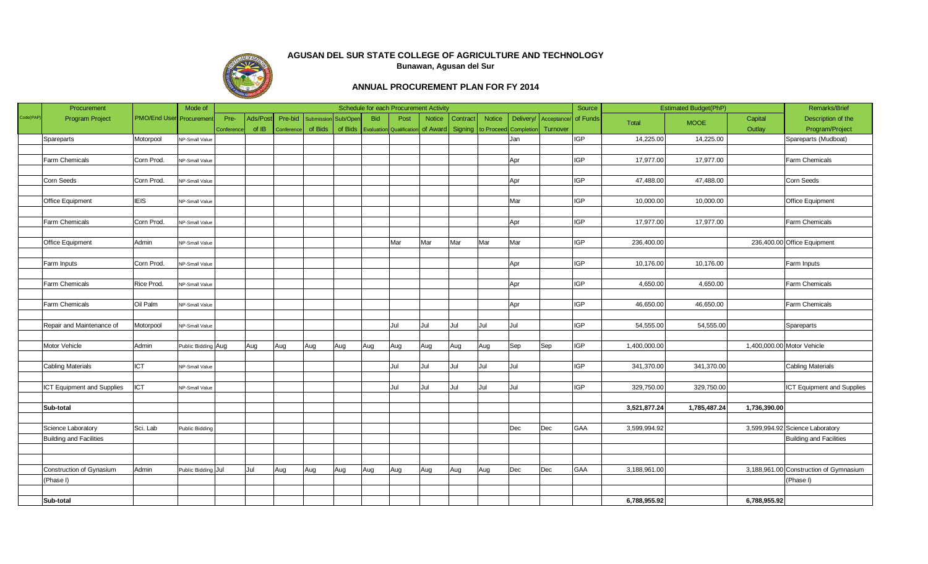

|           | Procurement                    |                                | Mode of            |            |         |            |                   |          |            | Schedule for each Procurement Activity |               |                  |               |                       |             | Source     |              | <b>Estimated Budget(PhP)</b> |                            | Remarks/Brief                          |
|-----------|--------------------------------|--------------------------------|--------------------|------------|---------|------------|-------------------|----------|------------|----------------------------------------|---------------|------------------|---------------|-----------------------|-------------|------------|--------------|------------------------------|----------------------------|----------------------------------------|
| Code(PAP) | <b>Program Project</b>         | <b>PMO/End User</b> Procuremen |                    | Pre-       | Ads/Pos | Pre-bid    | <b>Submission</b> | Sub/Oper | <b>Bid</b> | Post                                   | <b>Notice</b> | Contract         | <b>Notice</b> | Delivery/             | Acceptance/ | of Funds   | <b>Total</b> | <b>MOOE</b>                  | Capital                    | Description of the                     |
|           |                                |                                |                    | Conference | of IB   | Conference | of Bids           | of Bids  |            | <b>Evaluation</b> Qualificatio         |               | of Award Signing |               | to Proceed Completion | Turnover    |            |              |                              | Outlay                     | Program/Project                        |
|           | Spareparts                     | Motorpool                      | NP-Small Value     |            |         |            |                   |          |            |                                        |               |                  |               | Jan                   |             | <b>IGP</b> | 14,225.00    | 14,225.00                    |                            | Spareparts (Mudboat)                   |
|           |                                |                                |                    |            |         |            |                   |          |            |                                        |               |                  |               |                       |             |            |              |                              |                            |                                        |
|           | Farm Chemicals                 | Corn Prod.                     | NP-Small Value     |            |         |            |                   |          |            |                                        |               |                  |               | Apr                   |             | <b>IGP</b> | 17,977.00    | 17,977.00                    |                            | Farm Chemicals                         |
|           |                                |                                |                    |            |         |            |                   |          |            |                                        |               |                  |               |                       |             |            |              |                              |                            |                                        |
|           | Corn Seeds                     | Corn Prod.                     | NP-Small Value     |            |         |            |                   |          |            |                                        |               |                  |               | Apr                   |             | IGP        | 47,488.00    | 47,488.00                    |                            | Corn Seeds                             |
|           |                                |                                |                    |            |         |            |                   |          |            |                                        |               |                  |               |                       |             |            |              |                              |                            |                                        |
|           | Office Equipment               | <b>IEIS</b>                    | NP-Small Value     |            |         |            |                   |          |            |                                        |               |                  |               | Mar                   |             | IGP        | 10,000.00    | 10,000.00                    |                            | <b>Office Equipment</b>                |
|           |                                |                                |                    |            |         |            |                   |          |            |                                        |               |                  |               |                       |             |            |              |                              |                            |                                        |
|           | Farm Chemicals                 | Corn Prod.                     | NP-Small Value     |            |         |            |                   |          |            |                                        |               |                  |               | Apr                   |             | IGP        | 17,977.00    | 17,977.00                    |                            | Farm Chemicals                         |
|           |                                |                                |                    |            |         |            |                   |          |            |                                        |               |                  |               |                       |             |            |              |                              |                            |                                        |
|           | Office Equipment               | Admin                          | NP-Small Value     |            |         |            |                   |          |            | Mar                                    | Mar           | Mar              | Mar           | Mar                   |             | <b>IGP</b> | 236,400.00   |                              |                            | 236,400.00 Office Equipment            |
|           |                                |                                |                    |            |         |            |                   |          |            |                                        |               |                  |               |                       |             |            |              |                              |                            |                                        |
|           | Farm Inputs                    | Corn Prod.                     | NP-Small Value     |            |         |            |                   |          |            |                                        |               |                  |               | Apr                   |             | <b>IGP</b> | 10,176.00    | 10,176.00                    |                            | Farm Inputs                            |
|           |                                |                                |                    |            |         |            |                   |          |            |                                        |               |                  |               |                       |             |            |              |                              |                            |                                        |
|           | Farm Chemicals                 | Rice Prod.                     | NP-Small Value     |            |         |            |                   |          |            |                                        |               |                  |               | Apr                   |             | IGP        | 4,650.00     | 4,650.00                     |                            | Farm Chemicals                         |
|           |                                |                                |                    |            |         |            |                   |          |            |                                        |               |                  |               |                       |             |            |              |                              |                            |                                        |
|           | Farm Chemicals                 | Oil Palm                       | NP-Small Value     |            |         |            |                   |          |            |                                        |               |                  |               | Apr                   |             | <b>IGP</b> | 46,650.00    | 46,650.00                    |                            | Farm Chemicals                         |
|           |                                |                                |                    |            |         |            |                   |          |            |                                        |               |                  |               |                       |             |            |              |                              |                            |                                        |
|           | Repair and Maintenance of      | Motorpool                      | NP-Small Value     |            |         |            |                   |          |            | Jul                                    | Jul           | Jul              | Jul           | Jul                   |             | <b>IGP</b> | 54,555.00    | 54,555.00                    |                            | Spareparts                             |
|           |                                |                                |                    |            |         |            |                   |          |            |                                        |               |                  |               |                       |             |            |              |                              |                            |                                        |
|           | Motor Vehicle                  | Admin                          | Public Bidding Aug |            | Aug     | Aug        | Aug               | Aug      | Aug        | Aug                                    | Aug           | Aug              | Aug           | Sep                   | Sep         | <b>IGP</b> | 1,400,000.00 |                              | 1,400,000.00 Motor Vehicle |                                        |
|           |                                |                                |                    |            |         |            |                   |          |            |                                        |               |                  |               |                       |             |            |              |                              |                            |                                        |
|           | <b>Cabling Materials</b>       | <b>ICT</b>                     | NP-Small Value     |            |         |            |                   |          |            | Jul                                    | Jul           | Jul              | Jul           | Jul                   |             | <b>IGP</b> | 341,370.00   | 341,370.00                   |                            | <b>Cabling Materials</b>               |
|           |                                |                                |                    |            |         |            |                   |          |            |                                        |               |                  |               |                       |             |            |              |                              |                            |                                        |
|           | ICT Equipment and Supplies     | ICT                            | NP-Small Value     |            |         |            |                   |          |            | Jul                                    | Jul           | Jul              | Jul           | Jul                   |             | IGP        | 329,750.00   | 329,750.00                   |                            | ICT Equipment and Supplies             |
|           |                                |                                |                    |            |         |            |                   |          |            |                                        |               |                  |               |                       |             |            |              |                              |                            |                                        |
|           | Sub-total                      |                                |                    |            |         |            |                   |          |            |                                        |               |                  |               |                       |             |            | 3,521,877.24 | 1,785,487.24                 | 1,736,390.00               |                                        |
|           |                                |                                |                    |            |         |            |                   |          |            |                                        |               |                  |               |                       |             |            |              |                              |                            |                                        |
|           | Science Laboratory             | Sci. Lab                       | Public Bidding     |            |         |            |                   |          |            |                                        |               |                  |               | Dec                   | Dec         | GAA        | 3,599,994.92 |                              |                            | 3,599,994.92 Science Laboratory        |
|           | <b>Building and Facilities</b> |                                |                    |            |         |            |                   |          |            |                                        |               |                  |               |                       |             |            |              |                              |                            | <b>Building and Facilities</b>         |
|           |                                |                                |                    |            |         |            |                   |          |            |                                        |               |                  |               |                       |             |            |              |                              |                            |                                        |
|           |                                |                                |                    |            |         |            |                   |          |            |                                        |               |                  |               |                       |             |            |              |                              |                            |                                        |
|           | Construction of Gynasium       | Admin                          | Public Bidding Jul |            | Jul     | Aug        | Aug               | Aug      | Aug        | Aug                                    | Aug           | Aug              | Aug           | Dec                   | Dec         | <b>GAA</b> | 3,188,961.00 |                              |                            | 3,188,961.00 Construction of Gymnasium |
|           | (Phase I)                      |                                |                    |            |         |            |                   |          |            |                                        |               |                  |               |                       |             |            |              |                              |                            | (Phase I)                              |
|           |                                |                                |                    |            |         |            |                   |          |            |                                        |               |                  |               |                       |             |            |              |                              |                            |                                        |
|           | Sub-total                      |                                |                    |            |         |            |                   |          |            |                                        |               |                  |               |                       |             |            | 6,788,955.92 |                              | 6,788,955.92               |                                        |